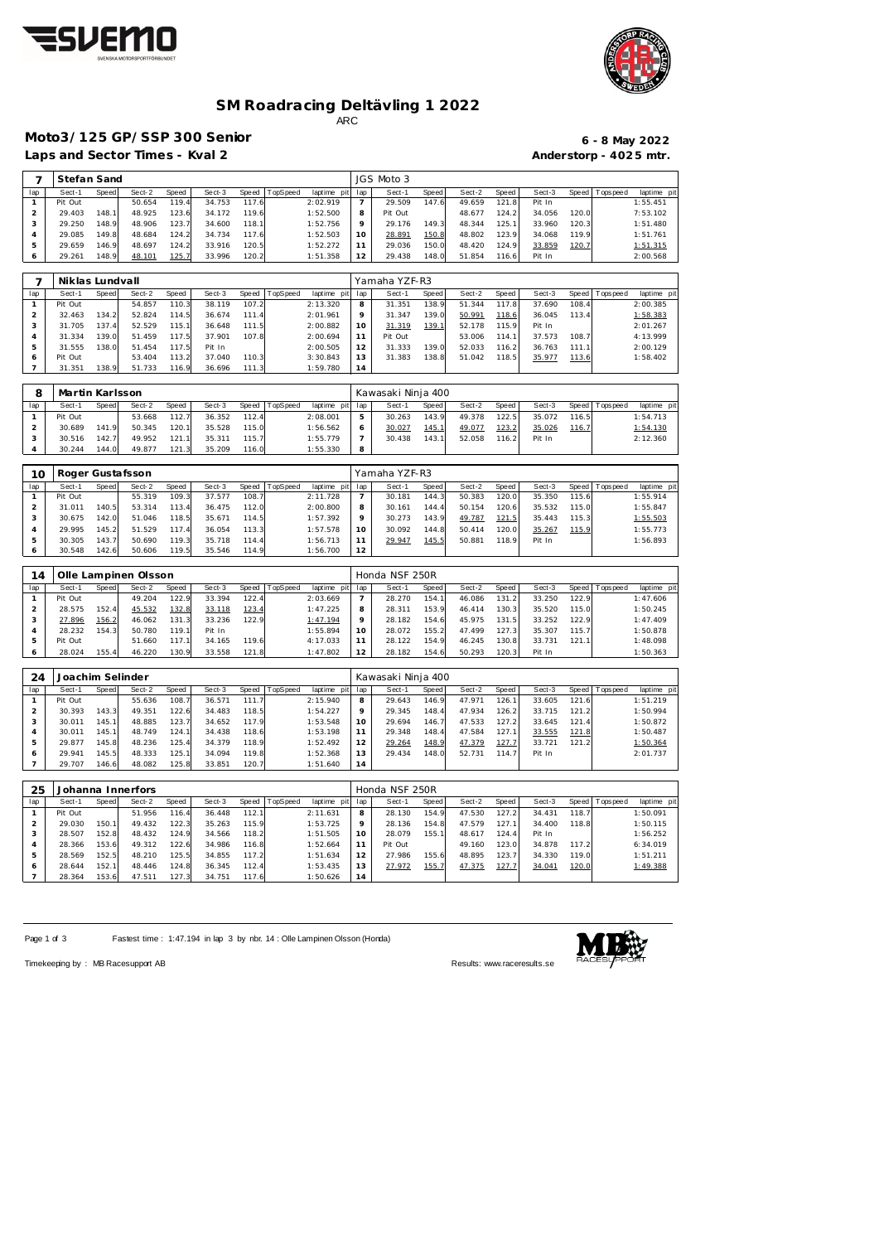



# **SM Roadracing Deltävling 1 2022**

ARC

# **Moto3/125 GP/SSP 300 Senior 6 - 8 May 2022**

Laps and Sector Times - Kval 2 **Anderstorp - 4025 mtr.** 

| 7                              | Stefan Sand       |                |                      |                |                  |                |          |                         |                       | JGS Moto 3         |                |                  |                |                  |                |                   |                         |
|--------------------------------|-------------------|----------------|----------------------|----------------|------------------|----------------|----------|-------------------------|-----------------------|--------------------|----------------|------------------|----------------|------------------|----------------|-------------------|-------------------------|
| lap                            | Sect-1            | Speed          | Sect-2               | Speed          | Sect-3           | Speed          | TopSpeed | laptime pit             | lap                   | Sect-1             | Speed          | Sect-2           | Speed          | Sect-3           | Speed          | <b>Topspeed</b>   | laptime pit             |
| $\mathbf{1}$                   | Pit Out           |                | 50.654               | 119.4          | 34.753           | 117.6          |          | 2:02.919                | $\overline{7}$        | 29.509             | 147.6          | 49.659           | 121.8          | Pit In           |                |                   | 1:55.451                |
| $\sqrt{2}$                     | 29.403            | 148.1          | 48.925               | 123.6          | 34.172           | 119.6          |          | 1:52.500                | 8                     | Pit Out            |                | 48.677           | 124.2          | 34.056           | 120.0          |                   | 7:53.102                |
| 3                              | 29.250            | 148.9          | 48.906               | 123.7          | 34.600           | 118.1          |          | 1:52.756                | 9                     | 29.176             | 149.3          | 48.344           | 125.1          | 33.960           | 120.3          |                   | 1:51.480                |
| $\overline{4}$                 | 29.085            | 149.8          | 48.684               | 124.2          | 34.734           | 117.6          |          | 1:52.503                | 10                    | 28.891             | 150.8          | 48.802           | 123.9          | 34.068           | 119.9          |                   | 1:51.761                |
| $\mathbf 5$                    | 29.659            | 146.9          | 48.697               | 124.2          | 33.916           | 120.5          |          | 1:52.272                | 11                    | 29.036             | 150.0          | 48.420           | 124.9          | 33.859           | 120.7          |                   | 1:51.315                |
| 6                              | 29.261            | 148.9          | 48.101               | 125.7          | 33.996           | 120.2          |          | 1:51.358                | 12                    | 29.438             | 148.0          | 51.854           | 116.6          | Pit In           |                |                   | 2:00.568                |
|                                |                   |                |                      |                |                  |                |          |                         |                       |                    |                |                  |                |                  |                |                   |                         |
| 7                              | Niklas Lundvall   |                |                      |                |                  |                |          |                         |                       | Yamaha YZF-R3      |                |                  |                |                  |                |                   |                         |
| lap                            | Sect-1            | Speed          | Sect-2               | Speed          | Sect-3           | Speed          | TopSpeed | laptime pit             | lap                   | Sect-1             | Speed          | Sect-2           | Speed          | Sect-3           | Speed          | Tops peed         | laptime pit             |
| $\mathbf{1}$                   | Pit Out           |                | 54.857               | 110.3          | 38.119           | 107.2          |          | 2:13.320                | 8                     | 31.351             | 138.9          | 51.344           | 117.8          | 37.690           | 108.4          |                   | 2:00.385                |
| $\sqrt{2}$                     | 32.463            | 134.2          | 52.824               | 114.5          | 36.674           | 111.4          |          | 2:01.961                | 9                     | 31.347             | 139.0          | 50.991           | 118.6          | 36.045           | 113.4          |                   | 1:58.383                |
| $\mathsf 3$                    | 31.705            | 137.4          | 52.529               | 115.1          | 36.648           | 111.5          |          | 2:00.882                | 10                    | 31.319             | 139.1          | 52.178           | 115.9          | Pit In           |                |                   | 2:01.267                |
| $\overline{4}$                 | 31.334            | 139.0          | 51.459               | 117.5          | 37.901           | 107.8          |          | 2:00.694                | 11                    | Pit Out            |                | 53.006           | 114.1          | 37.573           | 108.7          |                   | 4:13.999                |
| 5                              | 31.555            | 138.0          | 51.454               | 117.5          | Pit In           |                |          | 2:00.505                | 12                    | 31.333             | 139.0          | 52.033           | 116.2          | 36.763           | 111.1          |                   | 2:00.129                |
| $\epsilon$                     | Pit Out           |                | 53.404               | 113.2          | 37.040           | 110.3          |          | 3:30.843                | 13                    | 31.383             | 138.8          | 51.042           | 118.5          | 35.977           | 113.6          |                   | 1:58.402                |
| $\overline{7}$                 | 31.351            | 138.9          | 51.733               | 116.9          | 36.696           | 111.3          |          | 1:59.780                | 14                    |                    |                |                  |                |                  |                |                   |                         |
| 8                              | Martin Karlsson   |                |                      |                |                  |                |          |                         |                       | Kawasaki Ninja 400 |                |                  |                |                  |                |                   |                         |
| lap                            | Sect-1            | Speed          | Sect-2               | Speed          | Sect-3           | Speed          | TopSpeed | laptime pit             | lap                   | Sect-1             | Speed          | Sect-2           | Speed          | Sect-3           | Speed          | Tops pee d        | laptime pit             |
| $\mathbf{1}$                   | Pit Out           |                | 53.668               | 112.7          | 36.352           | 112.4          |          | 2:08.001                | 5                     | 30.263             | 143.9          | 49.378           | 122.5          | 35.072           | 116.5          |                   | 1:54.713                |
| $\sqrt{2}$                     | 30.689            | 141.9          | 50.345               | 120.1          | 35.528           | 115.0          |          | 1:56.562                | 6                     | 30.027             | 145.1          | 49.077           | 123.2          | 35.026           | 116.7          |                   | 1:54.130                |
| 3                              | 30.516            | 142.7          | 49.952               | 121.1          | 35.311           | 115.7          |          | 1:55.779                | $\overline{7}$        | 30.438             | 143.1          | 52.058           | 116.2          | Pit In           |                |                   | 2:12.360                |
| $\overline{4}$                 | 30.244            | 144.0          | 49.877               | 121.3          | 35.209           | 116.0          |          | 1:55.330                | 8                     |                    |                |                  |                |                  |                |                   |                         |
|                                |                   |                |                      |                |                  |                |          |                         |                       |                    |                |                  |                |                  |                |                   |                         |
| 10                             | Roger Gustafsson  |                |                      |                |                  |                |          |                         |                       | Yamaha YZF-R3      |                |                  |                |                  |                |                   |                         |
| lap                            | Sect-1            | Speed          | Sect-2               | Speed          | Sect-3           | Speed          | TopSpeed | laptime pit             | lap                   | Sect-1             | Speed          | Sect-2           | Speed          | Sect-3           | Speed          | Tops peed         | laptime pit             |
| $\mathbf{1}$                   | Pit Out           |                | 55.319               | 109.3          | 37.577           | 108.           |          | 2:11.728                | $\overline{7}$        | 30.181             | 144.3          | 50.383           | 120.0          | 35.350           | 115.6          |                   | 1:55.914                |
| $\overline{2}$                 | 31.011            | 140.5          | 53.314               | 113.4          | 36.475           | 112.0          |          | 2:00.800                | 8                     | 30.161             | 144.4          | 50.154           | 120.6          | 35.532           | 115.0          |                   | 1:55.847                |
| 3                              | 30.675            | 142.0          | 51.046               | 118.5          | 35.671           | 114.5          |          | 1:57.392                | 9                     | 30.273             | 143.9          | 49.787           | 121.5          | 35.443           | 115.3          |                   | 1:55.503                |
| $\overline{4}$                 | 29.995            | 145.2          | 51.529               | 117.4          | 36.054           | 113.3          |          | 1:57.578                | 10                    | 30.092             | 144.8          | 50.414           | 120.0          | 35.267           | 115.9          |                   | 1:55.773                |
| $\mathbf 5$                    | 30.305            | 143.7          | 50.690               | 119.3          | 35.718           | 114.4          |          | 1:56.713                | 11                    | 29.947             | 145.5          | 50.881           | 118.9          | Pit In           |                |                   | 1:56.893                |
| 6                              | 30.548            | 142.6          | 50.606               | 119.5          | 35.546           | 114.9          |          | 1:56.700                | 12                    |                    |                |                  |                |                  |                |                   |                         |
|                                |                   |                |                      |                |                  |                |          |                         |                       |                    |                |                  |                |                  |                |                   |                         |
| 14                             |                   |                | Olle Lampinen Olsson |                |                  |                |          |                         |                       | Honda NSF 250R     |                |                  |                |                  |                |                   |                         |
| lap<br>$\mathbf{1}$            | Sect-1<br>Pit Out | Speed          | Sect-2<br>49.204     | Speed<br>122.9 | Sect-3<br>33.394 | Speed<br>122.4 | TopSpeed | laptime pit<br>2:03.669 | lap<br>$\overline{7}$ | Sect-1<br>28.270   | Speed<br>154.1 | Sect-2<br>46.086 | Speed<br>131.2 | Sect-3<br>33.250 | Speed<br>122.9 | Tops peed         | laptime pit<br>1:47.606 |
| $\sqrt{2}$                     | 28.575            | 152.4          | 45.532               | 132.8          | 33.118           | 123.4          |          | 1:47.225                | 8                     | 28.311             | 153.9          | 46.414           | 130.3          | 35.520           | 115.0          |                   | 1:50.245                |
| $\mathsf 3$                    | 27.896            | 156.2          | 46.062               | 131.3          | 33.236           | 122.9          |          | 1:47.194                | 9                     | 28.182             | 154.6          | 45.975           | 131.5          | 33.252           | 122.9          |                   | 1:47.409                |
| $\overline{4}$                 | 28.232            | 154.3          | 50.780               | 119.1          | Pit In           |                |          | 1:55.894                | 10                    | 28.072             | 155.2          | 47.499           | 127.3          | 35.307           | 115.7          |                   | 1:50.878                |
| 5                              | Pit Out           |                | 51.660               | 117.1          | 34.165           | 119.6          |          | 4:17.033                | 11                    | 28.122             | 154.9          | 46.245           | 130.8          | 33.731           | 121.1          |                   | 1:48.098                |
| 6                              | 28.024            | 155.4          | 46.220               | 130.9          | 33.558           | 121.8          |          | 1:47.802                | 12                    | 28.182             | 154.6          | 50.293           | 120.3          | Pit In           |                |                   | 1:50.363                |
|                                |                   |                |                      |                |                  |                |          |                         |                       |                    |                |                  |                |                  |                |                   |                         |
| 24                             | Joachim Selinder  |                |                      |                |                  |                |          |                         |                       | Kawasaki Ninja 400 |                |                  |                |                  |                |                   |                         |
| lap                            | Sect-1            | <b>Speed</b>   | Sect-2               | Speed          | Sect-3           | Speed          | TopSpeed | laptime pit             | lap                   | Sect-1             | Speed          | Sect-2           | Speed          | Sect-3           |                | Speed   Tops peed | laptime pit             |
| 1                              | Pit Out           |                | 55.636               | 108.7          | 36.571           | 111.7          |          | 2:15.940                | 8                     | 29.643             | 146.9          | 47.971           | 126.1          | 33.605           | 121.6          |                   | 1:51.219                |
| $\overline{\mathbf{c}}$        | 30.393            | 143.3          | 49.351               | 122.6          | 34.483           | 118.5          |          | 1:54.227                | 9                     | 29.345             | 148.4          | 47.934           | 126.2          | 33.715           | 121.2          |                   | 1:50.994                |
| 3                              | 30.011            | 145.1          | 48.885               | 123.7          | 34.652           | 117.9          |          | 1:53.548                | 10                    | 29.694             | 146.7          | 47.533           | 127.2          | 33.645           | 121.4          |                   | 1:50.872                |
| $\overline{4}$                 | 30.011            | 145.1          | 48.749               | 124.1          | 34.438           | 118.6          |          | 1:53.198                | 11                    | 29.348             | 148.4          | 47.584           | 127.1          | 33.555           | 121.8          |                   | 1:50.487                |
| $\mathbf 5$                    | 29.877            | 145.8          | 48.236               | 125.4          | 34.379           | 118.9          |          | 1:52.492                | 12                    | 29.264             | 148.9          | 47.379           | 127.7          | 33.721           | 121.2          |                   | 1:50.364                |
| 6                              | 29.941            | 145.5          | 48.333               | 125.1          | 34.094           | 119.8          |          | 1:52.368                | 13                    | 29.434             | 148.0          | 52.731           | 114.7          | Pit In           |                |                   | 2:01.737                |
| $\overline{7}$                 | 29.707            | 146.6          | 48.082               | 125.8          | 33.851           | 120.7          |          | 1:51.640                | 14                    |                    |                |                  |                |                  |                |                   |                         |
|                                |                   |                |                      |                |                  |                |          |                         |                       |                    |                |                  |                |                  |                |                   |                         |
| 25                             |                   |                | Johanna Innerfors    |                |                  |                |          |                         |                       | Honda NSF 250R     |                |                  |                |                  |                |                   |                         |
| lap                            | Sect-1            | Speed          | Sect-2               | Speed          | Sect-3           | Speed          | TopSpeed | laptime pit             | lap                   | Sect-1             | Speed          | Sect-2           | Speed          | Sect-3           | Speed          | Topspeed          | laptime pit             |
| $\mathbf{1}$<br>$\overline{c}$ | Pit Out           |                | 51.956               | 116.4          | 36.448           | 112.1          |          | 2:11.631                | 8<br>9                | 28.130             | 154.9          | 47.530           | 127.2          | 34.431           | 118.7          |                   | 1:50.091                |
| 3                              | 29.030<br>28.507  | 150.1<br>152.8 | 49.432<br>48.432     | 122.3<br>124.9 | 35.263<br>34.566 | 115.9<br>118.2 |          | 1:53.725<br>1:51.505    | 10                    | 28.136<br>28.079   | 154.8<br>155.1 | 47.579<br>48.617 | 127.1<br>124.4 | 34.400<br>Pit In | 118.8          |                   | 1:50.115<br>1:56.252    |
|                                |                   |                |                      |                |                  |                |          |                         |                       |                    |                |                  |                |                  |                |                   |                         |
|                                |                   |                |                      |                |                  |                |          |                         |                       |                    |                |                  |                |                  |                |                   |                         |
| 4<br>5                         | 28.366<br>28.569  | 153.6<br>152.5 | 49.312<br>48.210     | 122.6<br>125.5 | 34.986<br>34.855 | 116.8<br>117.2 |          | 1:52.664<br>1:51.634    | 11<br>12              | Pit Out<br>27.986  | 155.6          | 49.160<br>48.895 | 123.0<br>123.7 | 34.878<br>34.330 | 117.2<br>119.0 |                   | 6:34.019<br>1:51.211    |

Page 1 of 3 Fastest time : 1:47.194 in lap 3 by nbr. 14 : Olle Lampinen Olsson (Honda)

 28.644 152.1 48.446 124.8 36.345 112.4 1:53.435 28.364 153.6 47.511 127.3 34.751 117.6 1:50.626



27.972 155.7 47.375 127.7 34.041 120.0 1:49.388

Timekeeping by : MB Racesupport AB **Results:<www.raceresults.se>**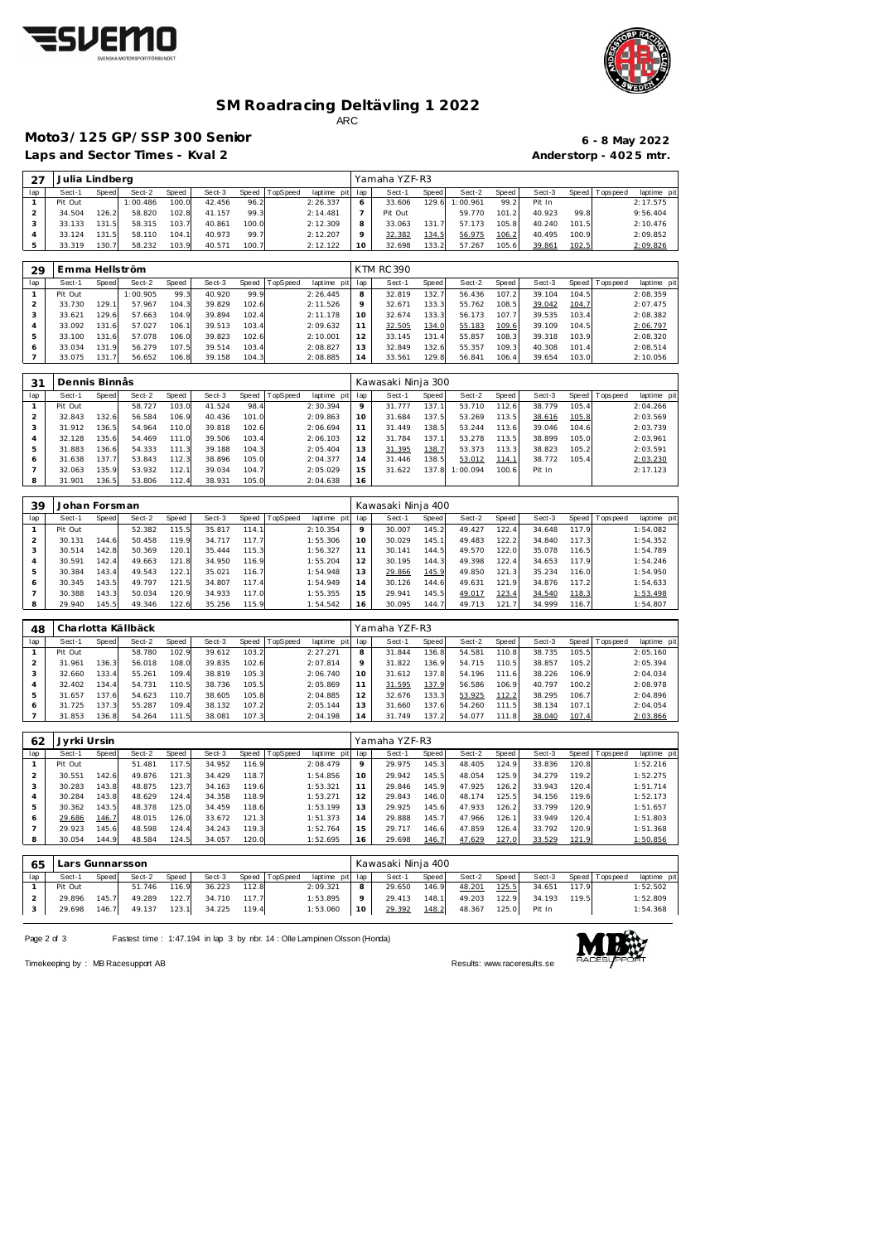



### **SM Roadracing Deltävling 1 2022** ARC

## **Moto3/125 GP/SSP 300 Senior 6 - 8 May 2022**

Laps and Sector Times - Kval 2 **Anderstorp - 4025 mtr.** 

| 27  | Julia Lindberg |       |          |       |        |       |          |                 | Yamaha YZF-R3 |       |          |              |        |       |                   |             |
|-----|----------------|-------|----------|-------|--------|-------|----------|-----------------|---------------|-------|----------|--------------|--------|-------|-------------------|-------------|
| lap | Sect-1         | Speed | Sect-2   | Speed | Sect-3 | Speed | TopSpeed | laptime pit lap | Sect-1        | Speed | Sect-2   | Speed        | Sect-3 |       | Speed   Tops peed | laptime pit |
|     | Pit Out        |       | 1:00.486 | 100.0 | 42.456 | 96.2  |          | 2:26.337        | 33.606        | 129.6 | 1:00.961 | 99.2         | Pit In |       |                   | 2:17.575    |
|     | 34.504         | 126.2 | 58.820   | 102.8 | 41.157 | 99.3  |          | 2:14.481        | Pit Out       |       | 59.770   | 101.2        | 40.923 | 99.8  |                   | 9:56.404    |
|     | 33.133         | 131.5 | 58.315   | 103.7 | 40.861 | 100.0 |          | 2:12.309        | 33.063        | 131.7 | 57.173   | 105.8        | 40.240 | 101.5 |                   | 2:10.476    |
|     | 33.124         | 131.5 | 58.110   | 104.1 | 40.973 | 99.7  |          | 2:12.207        | 32.382        | 134.5 | 56.975   | <u>106.2</u> | 40.495 | 100.9 |                   | 2:09.852    |
|     | 33.319         | 130.7 | 58.232   | 103.9 | 40.571 | 100.7 |          | 2:12.122        | 32.698        | 133.2 | 57.267   | 105.6        | 39.861 | 102.5 |                   | 2:09.826    |

| -29 | Emma Hellström |       |          |       |        |       |          |             |         | <b>KTM RC 390</b> |       |        |       |        |         |                  |             |
|-----|----------------|-------|----------|-------|--------|-------|----------|-------------|---------|-------------------|-------|--------|-------|--------|---------|------------------|-------------|
| lap | Sect-1         | Speed | Sect-2   | Speed | Sect-3 | Speed | TopSpeed | laptime pit | lap     | Sect-1            | Speed | Sect-2 | Speed | Sect-3 | Speed I | <b>Tops peed</b> | laptime pit |
|     | Pit Out        |       | 1:00.905 | 99.3  | 40.920 | 99.9  |          | 2:26.445    | 8       | 32.819            | 132.7 | 56.436 | 107.2 | 39.104 | 104.5   |                  | 2:08.359    |
|     | 33.730         | 129.  | 57.967   | 104.3 | 39.829 | 102.6 |          | 2:11.526    | $\circ$ | 32.671            | 133.3 | 55.762 | 108.5 | 39.042 | 104.7   |                  | 2:07.475    |
|     | 33.621         | 129.6 | 57.663   | 104.9 | 39.894 | 102.4 |          | 2:11.178    | 10      | 32.674            | 133.3 | 56.173 | 107.7 | 39.535 | 103.4   |                  | 2:08.382    |
| 4   | 33.092         | 131.6 | 57.027   | 106.  | 39.513 | 103.4 |          | 2:09.632    |         | 32.505            | 134.0 | 55.183 | 109.6 | 39.109 | 104.5   |                  | 2:06.797    |
|     | 33.100         | 131.6 | 57.078   | 106.0 | 39.823 | 102.6 |          | 2:10.001    | 12      | 33.145            | 131.4 | 55.857 | 108.3 | 39.318 | 103.9   |                  | 2:08.320    |
|     | 33.034         | 131.9 | 56.279   | 107.5 | 39.514 | 103.4 |          | 2:08.827    | 13      | 32.849            | 132.6 | 55.357 | 109.3 | 40.308 | 101.4   |                  | 2:08.514    |
|     | 33.075         | 131.7 | 56.652   | 106.8 | 39.158 | 104.3 |          | 2:08.885    | 14      | 33.561            | 129.8 | 56.841 | 106.4 | 39.654 | 103.0   |                  | 2:10.056    |

| 31  |         | Dennis Binnås |        |       |        |       |          |             |                 | Kawasaki Ninja 300 |       |          |              |        |       |           |             |
|-----|---------|---------------|--------|-------|--------|-------|----------|-------------|-----------------|--------------------|-------|----------|--------------|--------|-------|-----------|-------------|
| lap | Sect-1  | Speed         | Sect-2 | Speed | Sect-3 | Speed | TopSpeed | laptime pit | lap             | Sect-1             | Speed | Sect-2   | Speed        | Sect-3 | Speed | Tops peed | laptime pit |
|     | Pit Out |               | 58.727 | 103.0 | 41.524 | 98.4  |          | 2:30.394    |                 | 31.777             | 137.1 | 53.710   | 112.6        | 38.779 | 105.4 |           | 2:04.266    |
|     | 32.843  | 132.6         | 56.584 | 106.9 | 40.436 | 101.0 |          | 2:09.863    | 10              | 31.684             | 137.5 | 53.269   | 113.5        | 38.616 | 105.8 |           | 2:03.569    |
|     | 31.912  | 136.5         | 54.964 | 110.0 | 39.818 | 102.6 |          | 2:06.694    |                 | 31.449             | 138.5 | 53.244   | 113.6        | 39.046 | 104.6 |           | 2:03.739    |
| 4   | 32.128  | 135.6         | 54.469 | 111.0 | 39.506 | 103.4 |          | 2:06.103    | 12 <sup>1</sup> | 31.784             | 137.1 | 53.278   | 113.5        | 38.899 | 105.0 |           | 2:03.961    |
| 5   | 31.883  | 136.6         | 54.333 | 111.3 | 39.188 | 104.3 |          | 2:05.404    | 3               | 31.395             | 138.7 | 53.373   | 113.31       | 38.823 | 105.2 |           | 2:03.591    |
| 6   | 31.638  | 137.7         | 53.843 | 112.3 | 38.896 | 105.0 |          | 2:04.377    | 14              | 31.446             | 138.5 | 53.012   | <u>114.1</u> | 38.772 | 105.4 |           | 2:03.230    |
|     | 32.063  | 135.9         | 53.932 | 112.1 | 39.034 | 104.7 |          | 2:05.029    | 15              | 31.622             | 137.8 | 1:00.094 | 100.6        | Pit In |       |           | 2:17.123    |
| 8   | 31.901  | 136.5         | 53.806 | 112.4 | 38.931 | 105.0 |          | 2:04.638    | 16              |                    |       |          |              |        |       |           |             |

| 39  | Johan Forsman |       |        |       |        |       |                 |             |     | Kawasaki Ninja 400 |       |        |       |        |       |                   |             |
|-----|---------------|-------|--------|-------|--------|-------|-----------------|-------------|-----|--------------------|-------|--------|-------|--------|-------|-------------------|-------------|
| lap | Sect-1        | Speed | Sect-2 | Speed | Sect-3 | Speed | <b>TopSpeed</b> | laptime pit | lap | Sect-1             | Speed | Sect-2 | Speed | Sect-3 |       | Speed   Tops peed | laptime pit |
|     | Pit Out       |       | 52.382 | 115.5 | 35.817 | 114.1 |                 | 2:10.354    | 9   | 30.007             | 145.2 | 49.427 | 122.4 | 34.648 | 117.9 |                   | 1:54.082    |
|     | 30.131        | 144.6 | 50.458 | 119.9 | 34.717 | 117.7 |                 | 1:55.306    | 10  | 30.029             | 145.1 | 49.483 | 122.2 | 34.840 | 117.3 |                   | 1:54.352    |
|     | 30.514        | 142.8 | 50.369 | 120.1 | 35.444 | 115.3 |                 | 1:56.327    | 11  | 30.141             | 144.5 | 49.570 | 122.0 | 35.078 | 116.5 |                   | 1:54.789    |
|     | 30.591        | 142.4 | 49.663 | 121.8 | 34.950 | 116.9 |                 | 1:55.204    | 12  | 30.195             | 144.3 | 49.398 | 122.4 | 34.653 | 117.9 |                   | 1:54.246    |
|     | 30.384        | 143.4 | 49.543 | 122.1 | 35.021 | 116.7 |                 | 1:54.948    | 13  | 29.866             | 145.9 | 49.850 | 121.3 | 35.234 | 116.0 |                   | 1:54.950    |
| 6   | 30.345        | 143.5 | 49.797 | 121.5 | 34.807 | 117.4 |                 | 1:54.949    | 14  | 30.126             | 144.6 | 49.631 | 121.9 | 34.876 | 117.2 |                   | 1:54.633    |
|     | 30.388        | 143.3 | 50.034 | 120.9 | 34.933 | 117.0 |                 | 1:55.355    | 15  | 29.941             | 145.5 | 49.017 | 123.4 | 34.540 | 118.3 |                   | 1:53.498    |
|     | 29.940        | 145.5 | 49.346 | 122.6 | 35.256 | 115.9 |                 | 1:54.542    | 16  | 30.095             | 144.7 | 49.713 | 121.7 | 34.999 | 116.7 |                   | 1:54.807    |

| 48  |         |        | Charlotta Källbäck |       |        |       |          |                |     | Yamaha YZF-R3 |       |        |       |        |       |                   |             |
|-----|---------|--------|--------------------|-------|--------|-------|----------|----------------|-----|---------------|-------|--------|-------|--------|-------|-------------------|-------------|
| lap | Sect-1  | Speed  | Sect-2             | Speed | Sect-3 | Speed | TopSpeed | laptime<br>pit | lap | Sect-1        | Speed | Sect-2 | Speed | Sect-3 |       | Speed   Tops peed | laptime pit |
|     | Pit Out |        | 58.780             | 102.9 | 39.612 | 103.2 |          | 2:27.271       | 8   | 31.844        | 136.8 | 54.581 | 110.8 | 38.735 | 105.5 |                   | 2:05.160    |
|     | 31.961  | 136.3  | 56.018             | 108.0 | 39.835 | 102.6 |          | 2:07.814       | 9   | 31.822        | 136.9 | 54.715 | 110.5 | 38.857 | 105.2 |                   | 2:05.394    |
|     | 32.660  | 133.4  | 55.261             | 109.4 | 38.819 | 105.3 |          | 2:06.740       | 10  | 31.612        | 137.8 | 54.196 | 111.6 | 38.226 | 106.9 |                   | 2:04.034    |
|     | 32.402  | 134.4  | 54.731             | 110.5 | 38.736 | 105.5 |          | 2:05.869       |     | 31.595        | 137.9 | 56.586 | 106.9 | 40.797 | 100.2 |                   | 2:08.978    |
|     | 31.657  | 137.6  | 54.623             | 110.7 | 38.605 | 105.8 |          | 2:04.885       | 12  | 32.676        | 133.3 | 53.925 | 112.2 | 38.295 | 106.7 |                   | 2:04.896    |
|     | 31.725  | 137.31 | 55.287             | 109.4 | 38.132 | 107.2 |          | 2:05.144       | 13  | 31.660        | 137.6 | 54.260 | 111.5 | 38.134 | 107.1 |                   | 2:04.054    |
|     | 31.853  | 136.8  | 54.264             | 111.5 | 38.081 | 107.3 |          | 2:04.198       | 14  | 31.749        | 137.2 | 54.077 | 111.8 | 38.040 | 107.4 |                   | 2:03.866    |

| 62             | Jyrki Ursin |       |        |       |        |       |                |             |     | Yamaha YZF-R3 |       |        |       |        |       |                |             |
|----------------|-------------|-------|--------|-------|--------|-------|----------------|-------------|-----|---------------|-------|--------|-------|--------|-------|----------------|-------------|
| lap            | Sect-1      | Speed | Sect-2 | Speed | Sect-3 |       | Speed TopSpeed | laptime pit | lap | Sect-1        | Speed | Sect-2 | Speed | Sect-3 |       | Speed Topspeed | laptime pit |
|                | Pit Out     |       | 51.481 | 117.5 | 34.952 | 116.9 |                | 2:08.479    | 9   | 29.975        | 145.3 | 48.405 | 124.9 | 33.836 | 120.8 |                | 1:52.216    |
| 2              | 30.551      | 142.6 | 49.876 | 121.3 | 34.429 | 118.7 |                | 1:54.856    | 10  | 29.942        | 145.5 | 48.054 | 125.9 | 34.279 | 119.2 |                | 1:52.275    |
| 3              | 30.283      | 143.8 | 48.875 | 123.7 | 34.163 | 119.6 |                | 1:53.321    | 11  | 29.846        | 145.9 | 47.925 | 126.2 | 33.943 | 120.4 |                | 1:51.714    |
| $\overline{4}$ | 30.284      | 143.8 | 48.629 | 124.4 | 34.358 | 118.9 |                | 1:53.271    | 12  | 29.843        | 146.0 | 48.174 | 125.5 | 34.156 | 119.6 |                | 1:52.173    |
| 5              | 30.362      | 143.5 | 48.378 | 125.0 | 34.459 | 118.6 |                | 1:53.199    | 13  | 29.925        | 145.6 | 47.933 | 126.2 | 33.799 | 120.9 |                | 1:51.657    |
| 6              | 29.686      | 146.7 | 48.015 | 126.0 | 33.672 | 121.3 |                | 1:51.373    | 14  | 29.888        | 145.7 | 47.966 | 126.1 | 33.949 | 120.4 |                | 1:51.803    |
|                | 29.923      | 145.6 | 48.598 | 124.4 | 34.243 | 119.3 |                | 1:52.764    | 15  | 29.717        | 146.6 | 47.859 | 126.4 | 33.792 | 120.9 |                | 1:51.368    |
| 8              | 30.054      | 144.9 | 48.584 | 124.5 | 34.057 | 120.0 |                | 1:52.695    | 16  | 29.698        | 146.7 | 47.629 | 127.0 | 33.529 | 121.9 |                | 1:50.856    |
|                |             |       |        |       |        |       |                |             |     |               |       |        |       |        |       |                |             |
|                |             |       |        |       |        |       |                |             |     |               |       |        |       |        |       |                |             |

| 65  | Lars Gunnarsson |              |        |       |        |       |          |                 |          | Kawasaki Ninja 400 |       |        |       |        |       |                |             |
|-----|-----------------|--------------|--------|-------|--------|-------|----------|-----------------|----------|--------------------|-------|--------|-------|--------|-------|----------------|-------------|
| lap | Sect-1          | <b>Speed</b> | Sect-2 | Speed | Sect-3 | Speed | TopSpeed | laptime pit lap |          | Sect-1             | Speed | Sect-2 | Speed | Sect-3 |       | Speed Topspeed | laptime pit |
|     | Pit Out         |              | 51.746 | 116.9 | 36.223 | 112.8 |          | 2:09.321        | 8        | 29.650             | 146.9 | 48.201 | 125.5 | 34.651 | 117.9 |                | 1:52.502    |
|     | 29.896          | 145.7        | 49.289 | 122.7 | 34.710 | 117.7 |          | 1:53.895        | $\Omega$ | 29.413             | 148.1 | 49.203 | 122.9 | 34.193 | 119.5 |                | 1:52.809    |
|     | 29.698          | 146.7        | 49.137 | 123.1 | 34.225 | 119.4 |          | 1:53.060        | 10       | 29.392             | 148.2 | 48.367 | 125.0 | Pit In |       |                | 1:54.368    |
|     |                 |              |        |       |        |       |          |                 |          |                    |       |        |       |        |       |                |             |

Page 2 of 3 Fastest time : 1:47.194 in lap 3 by nbr. 14 : Olle Lampinen Olsson (Honda)



Timekeeping by : MB Racesupport AB Results:<www.raceresults.se>